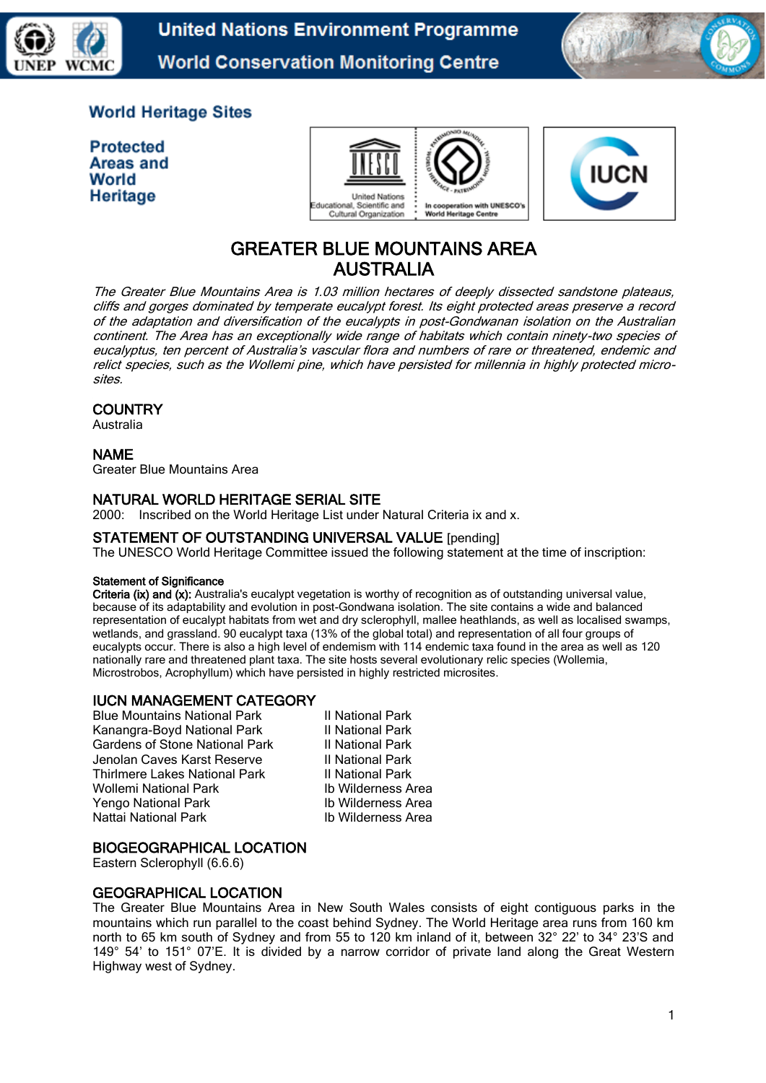



# **World Heritage Sites**

**Protected Areas and** World Heritage





# GREATER BLUE MOUNTAINS AREA AUSTRALIA

The Greater Blue Mountains Area is 1.03 million hectares of deeply dissected sandstone plateaus, cliffs and gorges dominated by temperate eucalypt forest. Its eight protected areas preserve a record of the adaptation and diversification of the eucalypts in post-Gondwanan isolation on the Australian continent. The Area has an exceptionally wide range of habitats which contain ninety-two species of eucalyptus, ten percent of Australia's vascular flora and numbers of rare or threatened, endemic and relict species, such as the Wollemi pine, which have persisted for millennia in highly protected microsites.

## **COUNTRY**

Australia

## NAME

Greater Blue Mountains Area

#### NATURAL WORLD HERITAGE SERIAL SITE

2000: Inscribed on the World Heritage List under Natural Criteria ix and x.

#### STATEMENT OF OUTSTANDING UNIVERSAL VALUE [pending]

The UNESCO World Heritage Committee issued the following statement at the time of inscription:

#### Statement of Significance

Criteria (ix) and (x): Australia's eucalypt vegetation is worthy of recognition as of outstanding universal value, because of its adaptability and evolution in post-Gondwana isolation. The site contains a wide and balanced representation of eucalypt habitats from wet and dry sclerophyll, mallee heathlands, as well as localised swamps, wetlands, and grassland. 90 eucalypt taxa (13% of the global total) and representation of all four groups of eucalypts occur. There is also a high level of endemism with 114 endemic taxa found in the area as well as 120 nationally rare and threatened plant taxa. The site hosts several evolutionary relic species (Wollemia, Microstrobos, Acrophyllum) which have persisted in highly restricted microsites.

# IUCN MANAGEMENT CATEGORY

Blue Mountains National Park III National Park<br>
Kanangra-Boyd National Park III National Park Kanangra-Boyd National Park II National Park<br>Gardens of Stone National Park II National Park Gardens of Stone National Park II National Park<br>Indian Caves Karst Reserve II National Park Jenolan Caves Karst Reserve II National Park<br>Thirlmere Lakes National Park II National Park Thirlmere Lakes National Park<br>
Wollemi National Park II National Park<br>
Ib Wilderness Area Wollemi National Park Yengo National Park Ib Wilderness Area<br>
Nattai National Park Ib Wilderness Area Nattai National Park

# BIOGEOGRAPHICAL LOCATION

Eastern Sclerophyll (6.6.6)

# GEOGRAPHICAL LOCATION

The Greater Blue Mountains Area in New South Wales consists of eight contiguous parks in the mountains which run parallel to the coast behind Sydney. The World Heritage area runs from 160 km north to 65 km south of Sydney and from 55 to 120 km inland of it, between 32° 22' to 34° 23'S and 149° 54' to 151° 07'E. It is divided by a narrow corridor of private land along the Great Western Highway west of Sydney.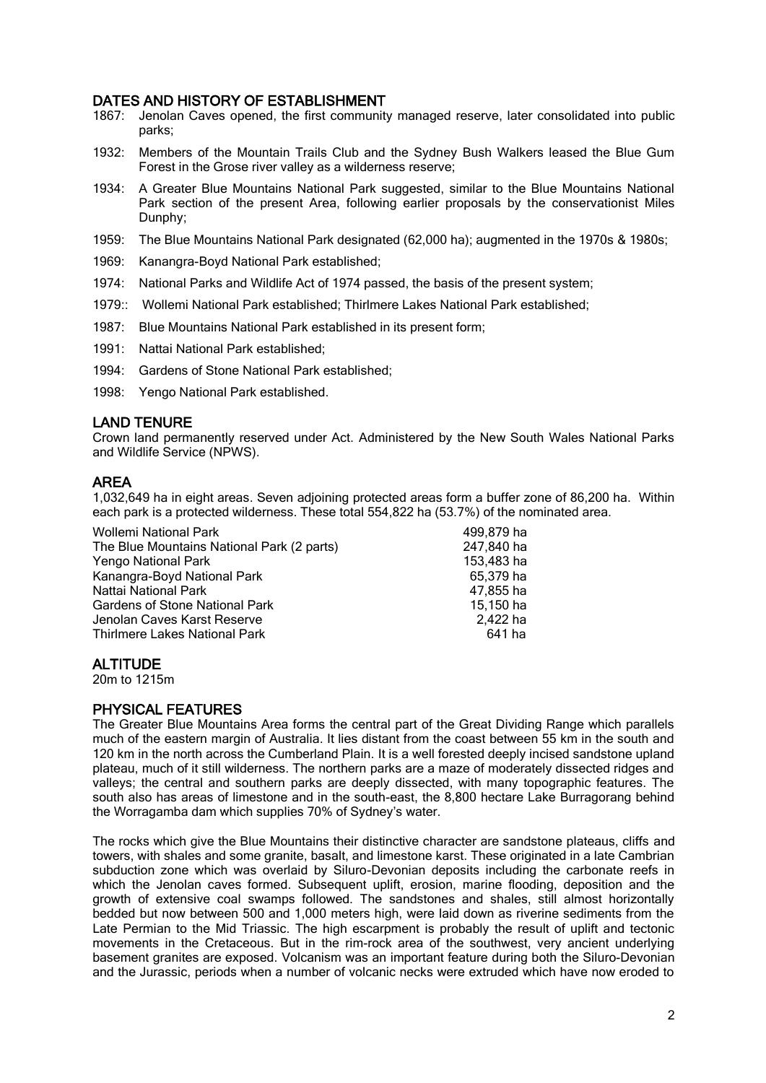## DATES AND HISTORY OF ESTABLISHMENT

- 1867: Jenolan Caves opened, the first community managed reserve, later consolidated into public parks;
- 1932: Members of the Mountain Trails Club and the Sydney Bush Walkers leased the Blue Gum Forest in the Grose river valley as a wilderness reserve;
- 1934: A Greater Blue Mountains National Park suggested, similar to the Blue Mountains National Park section of the present Area, following earlier proposals by the conservationist Miles Dunphy;
- 1959: The Blue Mountains National Park designated (62,000 ha); augmented in the 1970s & 1980s;
- 1969: Kanangra-Boyd National Park established;
- 1974: National Parks and Wildlife Act of 1974 passed, the basis of the present system;
- 1979:: Wollemi National Park established; Thirlmere Lakes National Park established;
- 1987: Blue Mountains National Park established in its present form;
- 1991: Nattai National Park established;
- 1994: Gardens of Stone National Park established;
- 1998: Yengo National Park established.

## LAND TENURE

Crown land permanently reserved under Act. Administered by the New South Wales National Parks and Wildlife Service (NPWS).

#### AREA

1,032,649 ha in eight areas. Seven adjoining protected areas form a buffer zone of 86,200 ha. Within each park is a protected wilderness. These total 554,822 ha (53.7%) of the nominated area.

| <b>Wollemi National Park</b>               | 499,879 ha |
|--------------------------------------------|------------|
| The Blue Mountains National Park (2 parts) | 247,840 ha |
| Yengo National Park                        | 153,483 ha |
| Kanangra-Boyd National Park                | 65,379 ha  |
| Nattai National Park                       | 47,855 ha  |
| <b>Gardens of Stone National Park</b>      | 15,150 ha  |
| Jenolan Caves Karst Reserve                | 2.422 ha   |
| <b>Thirlmere Lakes National Park</b>       | 641 ha     |
|                                            |            |

#### **ALTITUDE**

20m to 1215m

# PHYSICAL FEATURES

The Greater Blue Mountains Area forms the central part of the Great Dividing Range which parallels much of the eastern margin of Australia. It lies distant from the coast between 55 km in the south and 120 km in the north across the Cumberland Plain. It is a well forested deeply incised sandstone upland plateau, much of it still wilderness. The northern parks are a maze of moderately dissected ridges and valleys; the central and southern parks are deeply dissected, with many topographic features. The south also has areas of limestone and in the south-east, the 8,800 hectare Lake Burragorang behind the Worragamba dam which supplies 70% of Sydney's water.

The rocks which give the Blue Mountains their distinctive character are sandstone plateaus, cliffs and towers, with shales and some granite, basalt, and limestone karst. These originated in a late Cambrian subduction zone which was overlaid by Siluro-Devonian deposits including the carbonate reefs in which the Jenolan caves formed. Subsequent uplift, erosion, marine flooding, deposition and the growth of extensive coal swamps followed. The sandstones and shales, still almost horizontally bedded but now between 500 and 1,000 meters high, were laid down as riverine sediments from the Late Permian to the Mid Triassic. The high escarpment is probably the result of uplift and tectonic movements in the Cretaceous. But in the rim-rock area of the southwest, very ancient underlying basement granites are exposed. Volcanism was an important feature during both the Siluro-Devonian and the Jurassic, periods when a number of volcanic necks were extruded which have now eroded to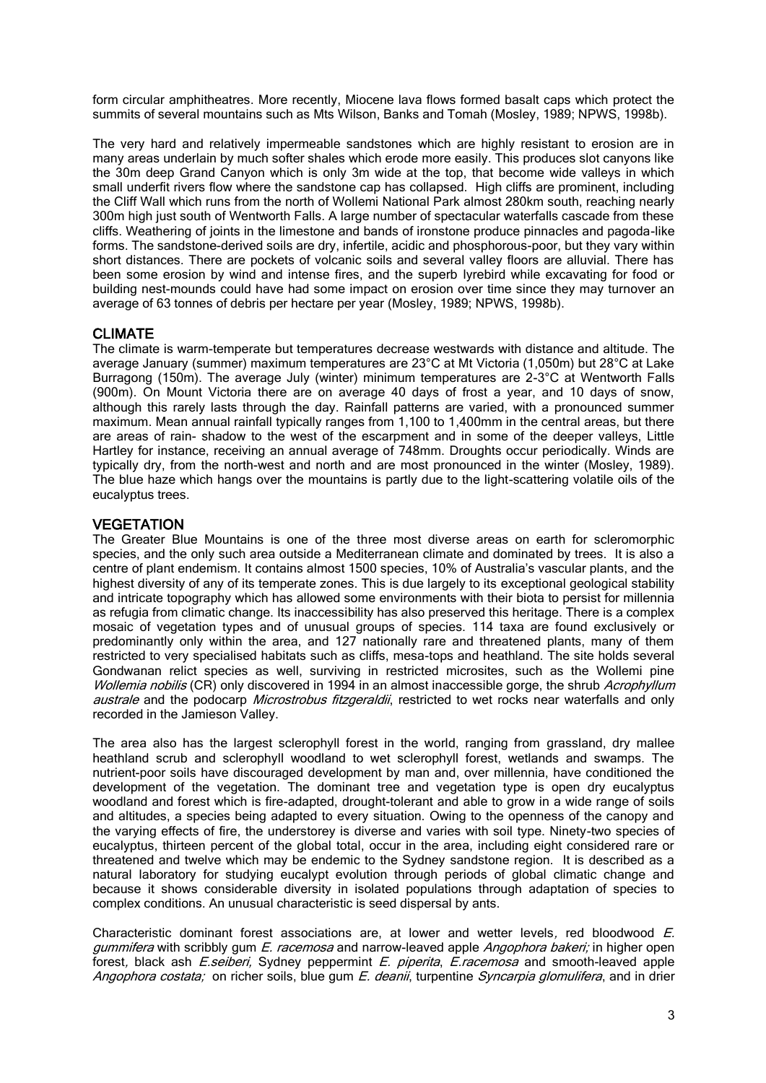form circular amphitheatres. More recently, Miocene lava flows formed basalt caps which protect the summits of several mountains such as Mts Wilson, Banks and Tomah (Mosley, 1989; NPWS, 1998b).

The very hard and relatively impermeable sandstones which are highly resistant to erosion are in many areas underlain by much softer shales which erode more easily. This produces slot canyons like the 30m deep Grand Canyon which is only 3m wide at the top, that become wide valleys in which small underfit rivers flow where the sandstone cap has collapsed. High cliffs are prominent, including the Cliff Wall which runs from the north of Wollemi National Park almost 280km south, reaching nearly 300m high just south of Wentworth Falls. A large number of spectacular waterfalls cascade from these cliffs. Weathering of joints in the limestone and bands of ironstone produce pinnacles and pagoda-like forms. The sandstone-derived soils are dry, infertile, acidic and phosphorous-poor, but they vary within short distances. There are pockets of volcanic soils and several valley floors are alluvial. There has been some erosion by wind and intense fires, and the superb lyrebird while excavating for food or building nest-mounds could have had some impact on erosion over time since they may turnover an average of 63 tonnes of debris per hectare per year (Mosley, 1989; NPWS, 1998b).

## CLIMATE

The climate is warm-temperate but temperatures decrease westwards with distance and altitude. The average January (summer) maximum temperatures are 23°C at Mt Victoria (1,050m) but 28°C at Lake Burragong (150m). The average July (winter) minimum temperatures are 2-3°C at Wentworth Falls (900m). On Mount Victoria there are on average 40 days of frost a year, and 10 days of snow, although this rarely lasts through the day. Rainfall patterns are varied, with a pronounced summer maximum. Mean annual rainfall typically ranges from 1,100 to 1,400mm in the central areas, but there are areas of rain- shadow to the west of the escarpment and in some of the deeper valleys, Little Hartley for instance, receiving an annual average of 748mm. Droughts occur periodically. Winds are typically dry, from the north-west and north and are most pronounced in the winter (Mosley, 1989). The blue haze which hangs over the mountains is partly due to the light-scattering volatile oils of the eucalyptus trees.

#### **VEGETATION**

The Greater Blue Mountains is one of the three most diverse areas on earth for scleromorphic species, and the only such area outside a Mediterranean climate and dominated by trees. It is also a centre of plant endemism. It contains almost 1500 species, 10% of Australia's vascular plants, and the highest diversity of any of its temperate zones. This is due largely to its exceptional geological stability and intricate topography which has allowed some environments with their biota to persist for millennia as refugia from climatic change. Its inaccessibility has also preserved this heritage. There is a complex mosaic of vegetation types and of unusual groups of species. 114 taxa are found exclusively or predominantly only within the area, and 127 nationally rare and threatened plants, many of them restricted to very specialised habitats such as cliffs, mesa-tops and heathland. The site holds several Gondwanan relict species as well, surviving in restricted microsites, such as the Wollemi pine Wollemia nobilis (CR) only discovered in 1994 in an almost inaccessible gorge, the shrub Acrophyllum australe and the podocarp *Microstrobus fitzgeraldii*, restricted to wet rocks near waterfalls and only recorded in the Jamieson Valley.

The area also has the largest sclerophyll forest in the world, ranging from grassland, dry mallee heathland scrub and sclerophyll woodland to wet sclerophyll forest, wetlands and swamps. The nutrient-poor soils have discouraged development by man and, over millennia, have conditioned the development of the vegetation. The dominant tree and vegetation type is open dry eucalyptus woodland and forest which is fire-adapted, drought-tolerant and able to grow in a wide range of soils and altitudes, a species being adapted to every situation. Owing to the openness of the canopy and the varying effects of fire, the understorey is diverse and varies with soil type. Ninety-two species of eucalyptus, thirteen percent of the global total, occur in the area, including eight considered rare or threatened and twelve which may be endemic to the Sydney sandstone region. It is described as a natural laboratory for studying eucalypt evolution through periods of global climatic change and because it shows considerable diversity in isolated populations through adaptation of species to complex conditions. An unusual characteristic is seed dispersal by ants.

Characteristic dominant forest associations are, at lower and wetter levels, red bloodwood E. gummifera with scribbly gum E. racemosa and narrow-leaved apple Angophora bakeri; in higher open forest, black ash E.seiberi, Sydney peppermint E. piperita, E.racemosa and smooth-leaved apple Angophora costata; on richer soils, blue gum E. deanii, turpentine Syncarpia glomulifera, and in drier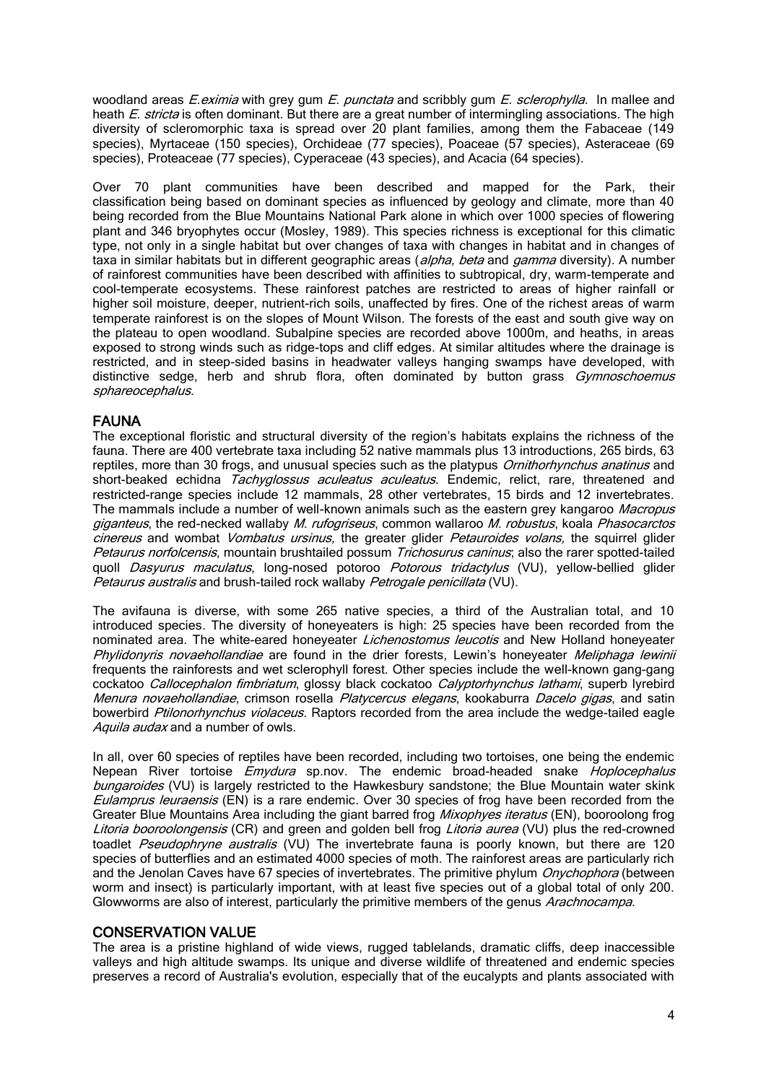woodland areas *E.eximia* with grey gum *E. punctata* and scribbly gum *E. sclerophylla.* In mallee and heath *E. stricta* is often dominant. But there are a great number of intermingling associations. The high diversity of scleromorphic taxa is spread over 20 plant families, among them the Fabaceae (149 species), Myrtaceae (150 species), Orchideae (77 species), Poaceae (57 species), Asteraceae (69 species), Proteaceae (77 species), Cyperaceae (43 species), and Acacia (64 species).

Over 70 plant communities have been described and mapped for the Park, their classification being based on dominant species as influenced by geology and climate, more than 40 being recorded from the Blue Mountains National Park alone in which over 1000 species of flowering plant and 346 bryophytes occur (Mosley, 1989). This species richness is exceptional for this climatic type, not only in a single habitat but over changes of taxa with changes in habitat and in changes of taxa in similar habitats but in different geographic areas (*alpha, beta* and *gamma* diversity). A number of rainforest communities have been described with affinities to subtropical, dry, warm-temperate and cool-temperate ecosystems. These rainforest patches are restricted to areas of higher rainfall or higher soil moisture, deeper, nutrient-rich soils, unaffected by fires. One of the richest areas of warm temperate rainforest is on the slopes of Mount Wilson. The forests of the east and south give way on the plateau to open woodland. Subalpine species are recorded above 1000m, and heaths, in areas exposed to strong winds such as ridge-tops and cliff edges. At similar altitudes where the drainage is restricted, and in steep-sided basins in headwater valleys hanging swamps have developed, with distinctive sedge, herb and shrub flora, often dominated by button grass Gymnoschoemus sphareocephalus.

## FAUNA

The exceptional floristic and structural diversity of the region's habitats explains the richness of the fauna. There are 400 vertebrate taxa including 52 native mammals plus 13 introductions, 265 birds, 63 reptiles, more than 30 frogs, and unusual species such as the platypus *Ornithorhynchus anatinus* and short-beaked echidna *Tachyglossus aculeatus aculeatus*. Endemic, relict, rare, threatened and restricted-range species include 12 mammals, 28 other vertebrates, 15 birds and 12 invertebrates. The mammals include a number of well-known animals such as the eastern grey kangaroo *Macropus* giganteus, the red-necked wallaby M. rufogriseus, common wallaroo M. robustus, koala Phasocarctos cinereus and wombat *Vombatus ursinus*, the greater glider *Petauroides volans*, the squirrel glider Petaurus norfolcensis, mountain brushtailed possum Trichosurus caninus; also the rarer spotted-tailed quoll Dasyurus maculatus, long-nosed potoroo Potorous tridactylus (VU), yellow-bellied glider Petaurus australis and brush-tailed rock wallaby Petrogale penicillata (VU).

The avifauna is diverse, with some 265 native species, a third of the Australian total, and 10 introduced species. The diversity of honeyeaters is high: 25 species have been recorded from the nominated area. The white-eared honeyeater *Lichenostomus leucotis* and New Holland honeyeater Phylidonyris novaehollandiae are found in the drier forests, Lewin's honeyeater Meliphaga lewinii frequents the rainforests and wet sclerophyll forest. Other species include the well-known gang-gang cockatoo Callocephalon fimbriatum, glossy black cockatoo Calyptorhynchus lathami, superb lyrebird Menura novaehollandiae, crimson rosella Platycercus elegans, kookaburra Dacelo gigas, and satin bowerbird Ptilonorhynchus violaceus. Raptors recorded from the area include the wedge-tailed eagle Aquila audax and a number of owls.

In all, over 60 species of reptiles have been recorded, including two tortoises, one being the endemic Nepean River tortoise *Emydura* sp.nov. The endemic broad-headed snake Hoplocephalus bungaroides (VU) is largely restricted to the Hawkesbury sandstone; the Blue Mountain water skink Eulamprus leuraensis (EN) is a rare endemic. Over 30 species of frog have been recorded from the Greater Blue Mountains Area including the giant barred frog *Mixophyes iteratus* (EN), booroolong frog Litoria booroolongensis (CR) and green and golden bell frog Litoria aurea (VU) plus the red-crowned toadlet Pseudophryne australis (VU) The invertebrate fauna is poorly known, but there are 120 species of butterflies and an estimated 4000 species of moth. The rainforest areas are particularly rich and the Jenolan Caves have 67 species of invertebrates. The primitive phylum *Onychophora* (between worm and insect) is particularly important, with at least five species out of a global total of only 200. Glowworms are also of interest, particularly the primitive members of the genus Arachnocampa.

#### CONSERVATION VALUE

The area is a pristine highland of wide views, rugged tablelands, dramatic cliffs, deep inaccessible valleys and high altitude swamps. Its unique and diverse wildlife of threatened and endemic species preserves a record of Australia's evolution, especially that of the eucalypts and plants associated with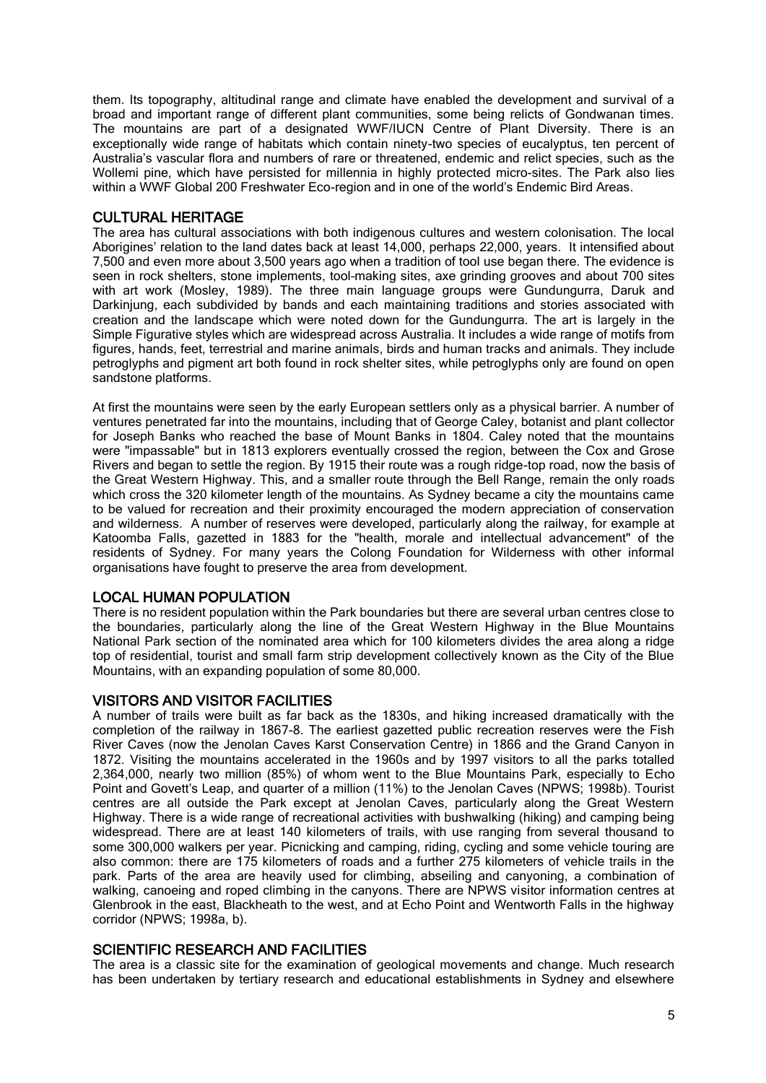them. Its topography, altitudinal range and climate have enabled the development and survival of a broad and important range of different plant communities, some being relicts of Gondwanan times. The mountains are part of a designated WWF/IUCN Centre of Plant Diversity. There is an exceptionally wide range of habitats which contain ninety-two species of eucalyptus, ten percent of Australia's vascular flora and numbers of rare or threatened, endemic and relict species, such as the Wollemi pine, which have persisted for millennia in highly protected micro-sites. The Park also lies within a WWF Global 200 Freshwater Eco-region and in one of the world's Endemic Bird Areas.

# CULTURAL HERITAGE

The area has cultural associations with both indigenous cultures and western colonisation. The local Aborigines' relation to the land dates back at least 14,000, perhaps 22,000, years. It intensified about 7,500 and even more about 3,500 years ago when a tradition of tool use began there. The evidence is seen in rock shelters, stone implements, tool–making sites, axe grinding grooves and about 700 sites with art work (Mosley, 1989). The three main language groups were Gundungurra, Daruk and Darkinjung, each subdivided by bands and each maintaining traditions and stories associated with creation and the landscape which were noted down for the Gundungurra. The art is largely in the Simple Figurative styles which are widespread across Australia. It includes a wide range of motifs from figures, hands, feet, terrestrial and marine animals, birds and human tracks and animals. They include petroglyphs and pigment art both found in rock shelter sites, while petroglyphs only are found on open sandstone platforms.

At first the mountains were seen by the early European settlers only as a physical barrier. A number of ventures penetrated far into the mountains, including that of George Caley, botanist and plant collector for Joseph Banks who reached the base of Mount Banks in 1804. Caley noted that the mountains were "impassable" but in 1813 explorers eventually crossed the region, between the Cox and Grose Rivers and began to settle the region. By 1915 their route was a rough ridge-top road, now the basis of the Great Western Highway. This, and a smaller route through the Bell Range, remain the only roads which cross the 320 kilometer length of the mountains. As Sydney became a city the mountains came to be valued for recreation and their proximity encouraged the modern appreciation of conservation and wilderness. A number of reserves were developed, particularly along the railway, for example at Katoomba Falls, gazetted in 1883 for the "health, morale and intellectual advancement" of the residents of Sydney. For many years the Colong Foundation for Wilderness with other informal organisations have fought to preserve the area from development.

# LOCAL HUMAN POPULATION

There is no resident population within the Park boundaries but there are several urban centres close to the boundaries, particularly along the line of the Great Western Highway in the Blue Mountains National Park section of the nominated area which for 100 kilometers divides the area along a ridge top of residential, tourist and small farm strip development collectively known as the City of the Blue Mountains, with an expanding population of some 80,000.

# VISITORS AND VISITOR FACILITIES

A number of trails were built as far back as the 1830s, and hiking increased dramatically with the completion of the railway in 1867-8. The earliest gazetted public recreation reserves were the Fish River Caves (now the Jenolan Caves Karst Conservation Centre) in 1866 and the Grand Canyon in 1872. Visiting the mountains accelerated in the 1960s and by 1997 visitors to all the parks totalled 2,364,000, nearly two million (85%) of whom went to the Blue Mountains Park, especially to Echo Point and Govett's Leap, and quarter of a million (11%) to the Jenolan Caves (NPWS; 1998b). Tourist centres are all outside the Park except at Jenolan Caves, particularly along the Great Western Highway. There is a wide range of recreational activities with bushwalking (hiking) and camping being widespread. There are at least 140 kilometers of trails, with use ranging from several thousand to some 300,000 walkers per year. Picnicking and camping, riding, cycling and some vehicle touring are also common: there are 175 kilometers of roads and a further 275 kilometers of vehicle trails in the park. Parts of the area are heavily used for climbing, abseiling and canyoning, a combination of walking, canoeing and roped climbing in the canyons. There are NPWS visitor information centres at Glenbrook in the east, Blackheath to the west, and at Echo Point and Wentworth Falls in the highway corridor (NPWS; 1998a, b).

# SCIENTIFIC RESEARCH AND FACILITIES

The area is a classic site for the examination of geological movements and change. Much research has been undertaken by tertiary research and educational establishments in Sydney and elsewhere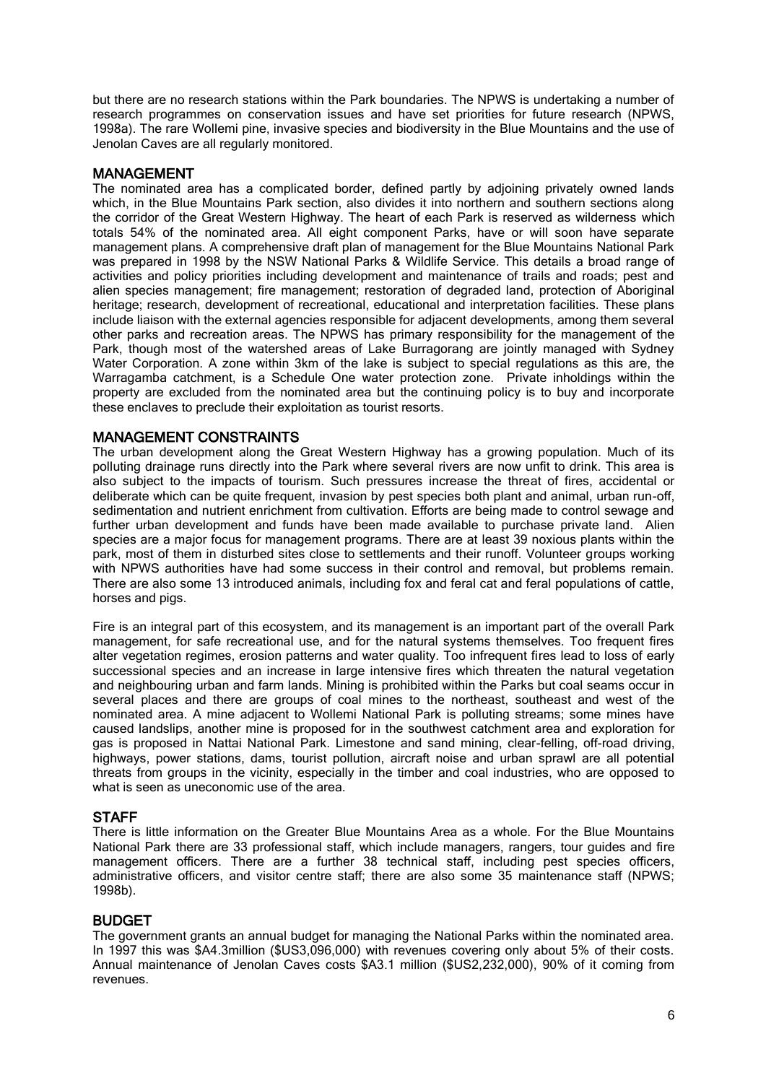but there are no research stations within the Park boundaries. The NPWS is undertaking a number of research programmes on conservation issues and have set priorities for future research (NPWS, 1998a). The rare Wollemi pine, invasive species and biodiversity in the Blue Mountains and the use of Jenolan Caves are all regularly monitored.

## MANAGEMENT

The nominated area has a complicated border, defined partly by adjoining privately owned lands which, in the Blue Mountains Park section, also divides it into northern and southern sections along the corridor of the Great Western Highway. The heart of each Park is reserved as wilderness which totals 54% of the nominated area. All eight component Parks, have or will soon have separate management plans. A comprehensive draft plan of management for the Blue Mountains National Park was prepared in 1998 by the NSW National Parks & Wildlife Service. This details a broad range of activities and policy priorities including development and maintenance of trails and roads; pest and alien species management; fire management; restoration of degraded land, protection of Aboriginal heritage; research, development of recreational, educational and interpretation facilities. These plans include liaison with the external agencies responsible for adjacent developments, among them several other parks and recreation areas. The NPWS has primary responsibility for the management of the Park, though most of the watershed areas of Lake Burragorang are jointly managed with Sydney Water Corporation. A zone within 3km of the lake is subject to special regulations as this are, the Warragamba catchment, is a Schedule One water protection zone. Private inholdings within the property are excluded from the nominated area but the continuing policy is to buy and incorporate these enclaves to preclude their exploitation as tourist resorts.

# MANAGEMENT CONSTRAINTS

The urban development along the Great Western Highway has a growing population. Much of its polluting drainage runs directly into the Park where several rivers are now unfit to drink. This area is also subject to the impacts of tourism. Such pressures increase the threat of fires, accidental or deliberate which can be quite frequent, invasion by pest species both plant and animal, urban run-off, sedimentation and nutrient enrichment from cultivation. Efforts are being made to control sewage and further urban development and funds have been made available to purchase private land. Alien species are a major focus for management programs. There are at least 39 noxious plants within the park, most of them in disturbed sites close to settlements and their runoff. Volunteer groups working with NPWS authorities have had some success in their control and removal, but problems remain. There are also some 13 introduced animals, including fox and feral cat and feral populations of cattle, horses and pigs.

Fire is an integral part of this ecosystem, and its management is an important part of the overall Park management, for safe recreational use, and for the natural systems themselves. Too frequent fires alter vegetation regimes, erosion patterns and water quality. Too infrequent fires lead to loss of early successional species and an increase in large intensive fires which threaten the natural vegetation and neighbouring urban and farm lands. Mining is prohibited within the Parks but coal seams occur in several places and there are groups of coal mines to the northeast, southeast and west of the nominated area. A mine adjacent to Wollemi National Park is polluting streams; some mines have caused landslips, another mine is proposed for in the southwest catchment area and exploration for gas is proposed in Nattai National Park. Limestone and sand mining, clear-felling, off-road driving, highways, power stations, dams, tourist pollution, aircraft noise and urban sprawl are all potential threats from groups in the vicinity, especially in the timber and coal industries, who are opposed to what is seen as uneconomic use of the area.

## **STAFF**

There is little information on the Greater Blue Mountains Area as a whole. For the Blue Mountains National Park there are 33 professional staff, which include managers, rangers, tour guides and fire management officers. There are a further 38 technical staff, including pest species officers, administrative officers, and visitor centre staff; there are also some 35 maintenance staff (NPWS; 1998b).

#### BUDGET

The government grants an annual budget for managing the National Parks within the nominated area. In 1997 this was \$A4.3million (\$US3,096,000) with revenues covering only about 5% of their costs. Annual maintenance of Jenolan Caves costs \$A3.1 million (\$US2,232,000), 90% of it coming from revenues.